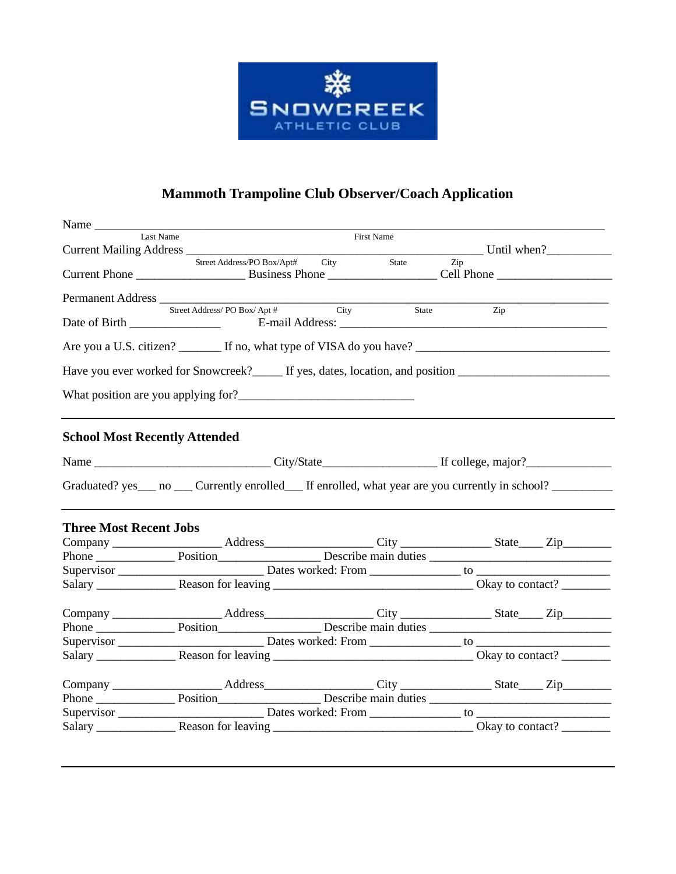

# **Mammoth Trampoline Club Observer/Coach Application**

| Name                                 |                                                                                                                                                                                                                                                                                                   |            |       |     |  |  |
|--------------------------------------|---------------------------------------------------------------------------------------------------------------------------------------------------------------------------------------------------------------------------------------------------------------------------------------------------|------------|-------|-----|--|--|
| Last Name                            |                                                                                                                                                                                                                                                                                                   | First Name |       |     |  |  |
|                                      | Current Mailing Address<br>Street Address/PO Box/Apt# City State Zip Until when?                                                                                                                                                                                                                  |            |       |     |  |  |
|                                      |                                                                                                                                                                                                                                                                                                   |            |       |     |  |  |
|                                      |                                                                                                                                                                                                                                                                                                   |            |       |     |  |  |
|                                      | $\begin{tabular}{l} {\bf Permanent Address} \end{tabular} \begin{tabular}{l} \hline \textbf{Sermanent Address} \end{tabular} \begin{tabular}{l} \hline \textbf{Set Address} / \textbf{PO Box} / \textbf{Apt}\# \end{tabular} \end{tabular} \begin{tabular}{l} \hline \textbf{City} \end{tabular}$ |            |       |     |  |  |
|                                      |                                                                                                                                                                                                                                                                                                   |            | State | Zip |  |  |
|                                      |                                                                                                                                                                                                                                                                                                   |            |       |     |  |  |
|                                      |                                                                                                                                                                                                                                                                                                   |            |       |     |  |  |
|                                      | Have you ever worked for Snowcreek? If yes, dates, location, and position Internation                                                                                                                                                                                                             |            |       |     |  |  |
|                                      |                                                                                                                                                                                                                                                                                                   |            |       |     |  |  |
|                                      |                                                                                                                                                                                                                                                                                                   |            |       |     |  |  |
| <b>School Most Recently Attended</b> |                                                                                                                                                                                                                                                                                                   |            |       |     |  |  |
|                                      |                                                                                                                                                                                                                                                                                                   |            |       |     |  |  |
|                                      | Graduated? yes___ no ___ Currently enrolled___ If enrolled, what year are you currently in school? ________                                                                                                                                                                                       |            |       |     |  |  |
| <b>Three Most Recent Jobs</b>        |                                                                                                                                                                                                                                                                                                   |            |       |     |  |  |
|                                      | Company _____________________Address________________City _______________State____Zip________________                                                                                                                                                                                              |            |       |     |  |  |
|                                      |                                                                                                                                                                                                                                                                                                   |            |       |     |  |  |
|                                      |                                                                                                                                                                                                                                                                                                   |            |       |     |  |  |
|                                      |                                                                                                                                                                                                                                                                                                   |            |       |     |  |  |
|                                      | Company ______________________Address________________City _______________State____Zip_______________                                                                                                                                                                                              |            |       |     |  |  |
|                                      |                                                                                                                                                                                                                                                                                                   |            |       |     |  |  |
|                                      |                                                                                                                                                                                                                                                                                                   |            |       |     |  |  |
|                                      |                                                                                                                                                                                                                                                                                                   |            |       |     |  |  |
|                                      |                                                                                                                                                                                                                                                                                                   |            |       |     |  |  |
|                                      |                                                                                                                                                                                                                                                                                                   |            |       |     |  |  |
|                                      |                                                                                                                                                                                                                                                                                                   |            |       |     |  |  |
|                                      |                                                                                                                                                                                                                                                                                                   |            |       |     |  |  |
|                                      |                                                                                                                                                                                                                                                                                                   |            |       |     |  |  |
|                                      |                                                                                                                                                                                                                                                                                                   |            |       |     |  |  |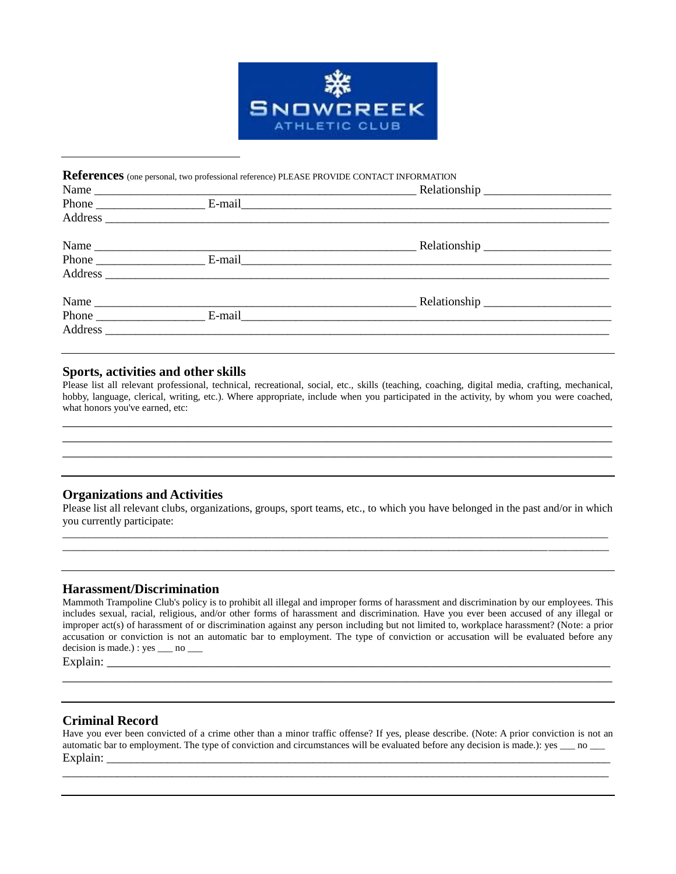

# **References** (one personal, two professional reference) PLEASE PROVIDE CONTACT INFORMATION Name \_\_\_\_\_\_\_\_\_\_\_\_\_\_\_\_\_\_\_\_\_\_\_\_\_\_\_\_\_\_\_\_\_\_\_\_\_\_\_\_\_\_\_\_\_\_\_\_\_\_\_\_\_ Relationship \_\_\_\_\_\_\_\_\_\_\_\_\_\_\_\_\_\_\_\_\_ Phone \_\_\_\_\_\_\_\_\_\_\_\_\_\_\_\_\_\_ E-mail\_\_\_\_\_\_\_\_\_\_\_\_\_\_\_\_\_\_\_\_\_\_\_\_\_\_\_\_\_\_\_\_\_\_\_\_\_\_\_\_\_\_\_\_\_\_\_\_\_\_\_\_\_\_\_\_\_\_\_\_\_ Address  $\overline{A}$ Name \_\_\_\_\_\_\_\_\_\_\_\_\_\_\_\_\_\_\_\_\_\_\_\_\_\_\_\_\_\_\_\_\_\_\_\_\_\_\_\_\_\_\_\_\_\_\_\_\_\_\_\_\_ Relationship \_\_\_\_\_\_\_\_\_\_\_\_\_\_\_\_\_\_\_\_\_ Phone \_\_\_\_\_\_\_\_\_\_\_\_\_\_\_\_\_\_ E-mail\_\_\_\_\_\_\_\_\_\_\_\_\_\_\_\_\_\_\_\_\_\_\_\_\_\_\_\_\_\_\_\_\_\_\_\_\_\_\_\_\_\_\_\_\_\_\_\_\_\_\_\_\_\_\_\_\_\_\_\_\_ Address \_\_\_\_\_\_\_\_\_\_\_\_\_\_\_\_\_\_\_\_\_\_\_\_\_\_\_\_\_\_\_\_\_\_\_\_\_\_\_\_\_\_\_\_\_\_\_\_\_\_\_\_\_\_\_\_\_\_\_\_\_\_\_\_\_\_\_\_\_\_\_\_\_\_\_\_\_\_\_\_\_\_\_ Name \_\_\_\_\_\_\_\_\_\_\_\_\_\_\_\_\_\_\_\_\_\_\_\_\_\_\_\_\_\_\_\_\_\_\_\_\_\_\_\_\_\_\_\_\_\_\_\_\_\_\_\_\_ Relationship \_\_\_\_\_\_\_\_\_\_\_\_\_\_\_\_\_\_\_\_\_ Phone E-mail E-mail Address \_\_\_\_\_\_\_\_\_\_\_\_\_\_\_\_\_\_\_\_\_\_\_\_\_\_\_\_\_\_\_\_\_\_\_\_\_\_\_\_\_\_\_\_\_\_\_\_\_\_\_\_\_\_\_\_\_\_\_\_\_\_\_\_\_\_\_\_\_\_\_\_\_\_\_\_\_\_\_\_\_\_\_

# **Sports, activities and other skills**

Please list all relevant professional, technical, recreational, social, etc., skills (teaching, coaching, digital media, crafting, mechanical, hobby, language, clerical, writing, etc.). Where appropriate, include when you participated in the activity, by whom you were coached, what honors you've earned, etc:

\_\_\_\_\_\_\_\_\_\_\_\_\_\_\_\_\_\_\_\_\_\_\_\_\_\_\_\_\_\_\_\_\_\_\_\_\_\_\_\_\_\_\_\_\_\_\_\_\_\_\_\_\_\_\_\_\_\_\_\_\_\_\_\_\_\_\_\_\_\_\_\_\_\_\_\_\_\_\_\_\_\_\_ \_\_\_\_\_\_\_\_\_\_\_\_\_\_\_\_\_\_\_\_\_\_\_\_\_\_\_\_\_\_\_\_\_\_\_\_\_\_\_\_\_\_\_\_\_\_\_\_\_\_\_\_\_\_\_\_\_\_\_\_\_\_\_\_\_\_\_\_\_\_\_\_\_\_\_\_\_\_\_\_\_\_\_ \_\_\_\_\_\_\_\_\_\_\_\_\_\_\_\_\_\_\_\_\_\_\_\_\_\_\_\_\_\_\_\_\_\_\_\_\_\_\_\_\_\_\_\_\_\_\_\_\_\_\_\_\_\_\_\_\_\_\_\_\_\_\_\_\_\_\_\_\_\_\_\_\_\_\_\_\_\_\_\_\_\_\_

# **Organizations and Activities**

Please list all relevant clubs, organizations, groups, sport teams, etc., to which you have belonged in the past and/or in which you currently participate: \_\_\_\_\_\_\_\_\_\_\_\_\_\_\_\_\_\_\_\_\_\_\_\_\_\_\_\_\_\_\_\_\_\_\_\_\_\_\_\_\_\_\_\_\_\_\_\_\_\_\_\_\_\_\_\_\_\_\_\_\_\_\_\_\_\_\_\_\_\_\_\_\_\_\_\_\_\_\_\_\_\_\_\_\_\_\_\_\_\_\_\_\_\_\_\_\_\_\_

\_\_\_\_\_\_\_\_\_\_\_\_\_\_\_\_\_\_\_\_\_\_\_\_\_\_\_\_\_\_\_\_\_\_\_\_\_\_\_\_\_\_\_\_\_\_\_\_\_\_\_\_\_\_\_\_\_\_\_\_\_\_\_\_\_\_\_\_\_\_\_\_\_\_\_\_\_\_\_\_\_\_\_\_\_\_\_\_\_\_\_\_\_\_\_\_\_\_\_

#### **Harassment/Discrimination**

Mammoth Trampoline Club's policy is to prohibit all illegal and improper forms of harassment and discrimination by our employees. This includes sexual, racial, religious, and/or other forms of harassment and discrimination. Have you ever been accused of any illegal or improper act(s) of harassment of or discrimination against any person including but not limited to, workplace harassment? (Note: a prior accusation or conviction is not an automatic bar to employment. The type of conviction or accusation will be evaluated before any decision is made.) : yes  $\_\_$ no  $\_\_$ 

\_\_\_\_\_\_\_\_\_\_\_\_\_\_\_\_\_\_\_\_\_\_\_\_\_\_\_\_\_\_\_\_\_\_\_\_\_\_\_\_\_\_\_\_\_\_\_\_\_\_\_\_\_\_\_\_\_\_\_\_\_\_\_\_\_\_\_\_\_\_\_\_\_\_\_\_\_\_\_\_\_\_\_

Explain: \_\_\_\_\_\_\_\_\_\_\_\_\_\_\_\_\_\_\_\_\_\_\_\_\_\_\_\_\_\_\_\_\_\_\_\_\_\_\_\_\_\_\_\_\_\_\_\_\_\_\_\_\_\_\_\_\_\_\_\_\_\_\_\_\_\_\_\_\_\_\_\_\_\_\_\_

#### **Criminal Record**

Have you ever been convicted of a crime other than a minor traffic offense? If yes, please describe. (Note: A prior conviction is not an automatic bar to employment. The type of conviction and circumstances will be evaluated before any decision is made.): yes \_\_\_ no \_\_\_  $Explain:$ 

\_\_\_\_\_\_\_\_\_\_\_\_\_\_\_\_\_\_\_\_\_\_\_\_\_\_\_\_\_\_\_\_\_\_\_\_\_\_\_\_\_\_\_\_\_\_\_\_\_\_\_\_\_\_\_\_\_\_\_\_\_\_\_\_\_\_\_\_\_\_\_\_\_\_\_\_\_\_\_\_\_\_\_\_\_\_\_\_\_\_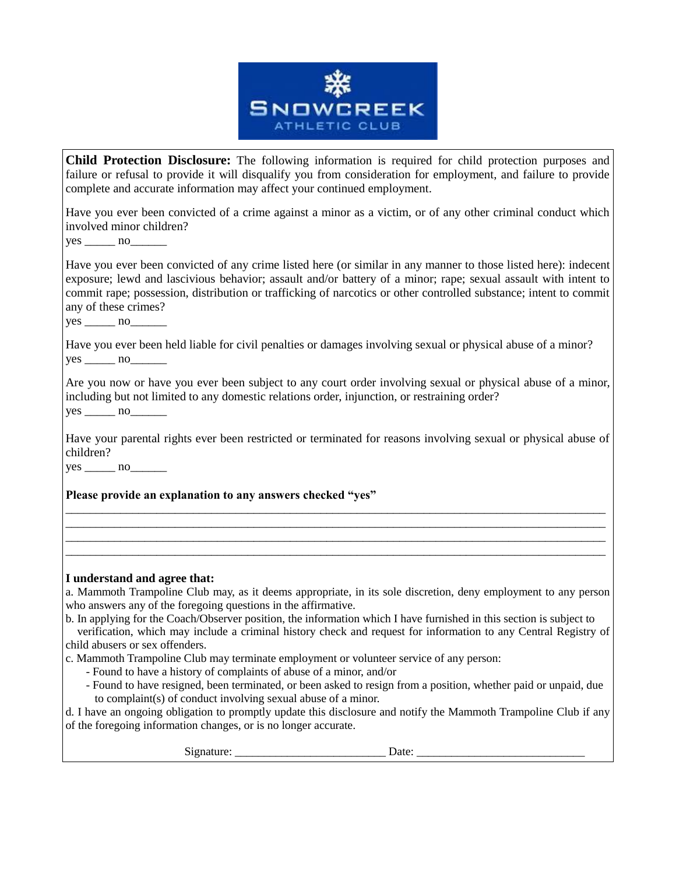

**Child Protection Disclosure:** The following information is required for child protection purposes and failure or refusal to provide it will disqualify you from consideration for employment, and failure to provide complete and accurate information may affect your continued employment.

Have you ever been convicted of a crime against a minor as a victim, or of any other criminal conduct which involved minor children?

yes no

Have you ever been convicted of any crime listed here (or similar in any manner to those listed here): indecent exposure; lewd and lascivious behavior; assault and/or battery of a minor; rape; sexual assault with intent to commit rape; possession, distribution or trafficking of narcotics or other controlled substance; intent to commit any of these crimes?

 $yes \_\_ no$  no

Have you ever been held liable for civil penalties or damages involving sexual or physical abuse of a minor?  $yes \_\_ no \_\_$ 

Are you now or have you ever been subject to any court order involving sexual or physical abuse of a minor, including but not limited to any domestic relations order, injunction, or restraining order?  $yes \_\_ no \_\_\_ no \_\_\_ no \_\_ on \$ 

Have your parental rights ever been restricted or terminated for reasons involving sexual or physical abuse of children?

\_\_\_\_\_\_\_\_\_\_\_\_\_\_\_\_\_\_\_\_\_\_\_\_\_\_\_\_\_\_\_\_\_\_\_\_\_\_\_\_\_\_\_\_\_\_\_\_\_\_\_\_\_\_\_\_\_\_\_\_\_\_\_\_\_\_\_\_\_\_\_\_\_\_\_\_\_\_\_\_\_\_\_\_\_\_\_\_\_ \_\_\_\_\_\_\_\_\_\_\_\_\_\_\_\_\_\_\_\_\_\_\_\_\_\_\_\_\_\_\_\_\_\_\_\_\_\_\_\_\_\_\_\_\_\_\_\_\_\_\_\_\_\_\_\_\_\_\_\_\_\_\_\_\_\_\_\_\_\_\_\_\_\_\_\_\_\_\_\_\_\_\_\_\_\_\_\_\_ \_\_\_\_\_\_\_\_\_\_\_\_\_\_\_\_\_\_\_\_\_\_\_\_\_\_\_\_\_\_\_\_\_\_\_\_\_\_\_\_\_\_\_\_\_\_\_\_\_\_\_\_\_\_\_\_\_\_\_\_\_\_\_\_\_\_\_\_\_\_\_\_\_\_\_\_\_\_\_\_\_\_\_\_\_\_\_\_\_ \_\_\_\_\_\_\_\_\_\_\_\_\_\_\_\_\_\_\_\_\_\_\_\_\_\_\_\_\_\_\_\_\_\_\_\_\_\_\_\_\_\_\_\_\_\_\_\_\_\_\_\_\_\_\_\_\_\_\_\_\_\_\_\_\_\_\_\_\_\_\_\_\_\_\_\_\_\_\_\_\_\_\_\_\_\_\_\_\_

 $yes \_\_ no \_\_$ 

**Please provide an explanation to any answers checked "yes"**

# **I understand and agree that:**

a. Mammoth Trampoline Club may, as it deems appropriate, in its sole discretion, deny employment to any person who answers any of the foregoing questions in the affirmative.

b. In applying for the Coach/Observer position, the information which I have furnished in this section is subject to

 verification, which may include a criminal history check and request for information to any Central Registry of child abusers or sex offenders.

c. Mammoth Trampoline Club may terminate employment or volunteer service of any person:

- Found to have a history of complaints of abuse of a minor, and/or
- Found to have resigned, been terminated, or been asked to resign from a position, whether paid or unpaid, due to complaint(s) of conduct involving sexual abuse of a minor.

d. I have an ongoing obligation to promptly update this disclosure and notify the Mammoth Trampoline Club if any of the foregoing information changes, or is no longer accurate.

Signature: \_\_\_\_\_\_\_\_\_\_\_\_\_\_\_\_\_\_\_\_\_\_\_\_\_\_ Date: \_\_\_\_\_\_\_\_\_\_\_\_\_\_\_\_\_\_\_\_\_\_\_\_\_\_\_\_\_